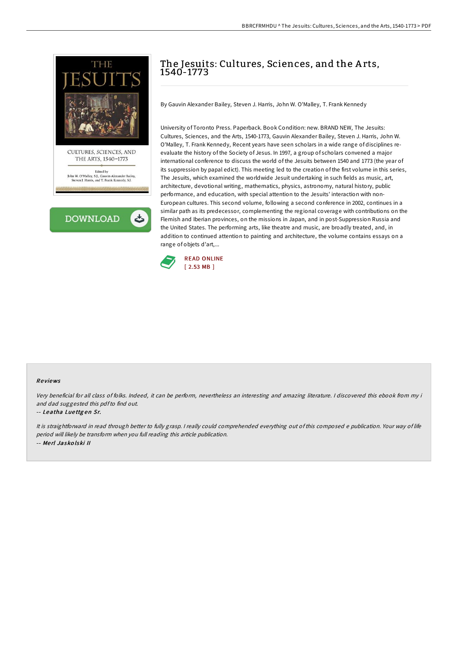

**DOWNLOAD** 

## The Jesuits: Cultures, Sciences, and the Arts, 1540-1773

By Gauvin Alexander Bailey, Steven J. Harris, John W. O'Malley, T. Frank Kennedy

University of Toronto Press. Paperback. Book Condition: new. BRAND NEW, The Jesuits: Cultures, Sciences, and the Arts, 1540-1773, Gauvin Alexander Bailey, Steven J. Harris, John W. O'Malley, T. Frank Kennedy, Recent years have seen scholars in a wide range of disciplines reevaluate the history of the Society of Jesus. In 1997, a group of scholars convened a major international conference to discuss the world of the Jesuits between 1540 and 1773 (the year of its suppression by papal edict). This meeting led to the creation of the first volume in this series, The Jesuits, which examined the worldwide Jesuit undertaking in such fields as music, art, architecture, devotional writing, mathematics, physics, astronomy, natural history, public performance, and education, with special attention to the Jesuits' interaction with non-European cultures. This second volume, following a second conference in 2002, continues in a similar path as its predecessor, complementing the regional coverage with contributions on the Flemish and Iberian provinces, on the missions in Japan, and in post-Suppression Russia and the United States. The performing arts, like theatre and music, are broadly treated, and, in addition to continued attention to painting and architecture, the volume contains essays on a range of objets d'art,...



## Re views

Very beneficial for all class of folks. Indeed, it can be perform, nevertheless an interesting and amazing literature. <sup>I</sup> discovered this ebook from my i and dad suggested this pdfto find out.

## -- Leatha Lue ttg en Sr.

It is straightforward in read through better to fully grasp. <sup>I</sup> really could comprehended everything out of this composed <sup>e</sup> publication. Your way of life period will likely be transform when you full reading this article publication. -- Me rl Jasko lski II